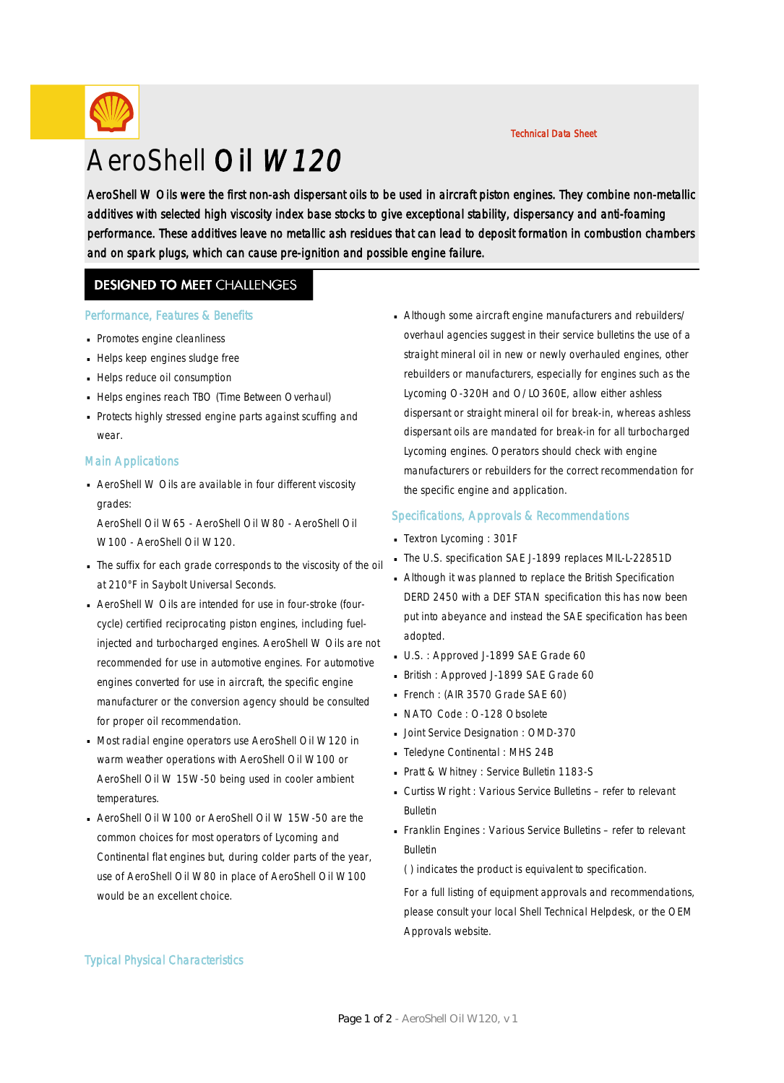

# AeroShell Oil W120

Technical Data Sheet

AeroShell W Oils were the first non-ash dispersant oils to be used in aircraft piston engines. They combine non-metallic additives with selected high viscosity index base stocks to give exceptional stability, dispersancy and anti-foaming performance. These additives leave no metallic ash residues that can lead to deposit formation in combustion chambers and on spark plugs, which can cause pre-ignition and possible engine failure.

### **DESIGNED TO MEET CHALLENGES**

#### Performance, Features & Benefits

- **Promotes engine cleanliness**
- Helps keep engines sludge free
- Helps reduce oil consumption
- Helps engines reach TBO (Time Between Overhaul)
- Protects highly stressed engine parts against scuffing and wear.

#### Main Applications

■ AeroShell W Oils are available in four different viscosity grades:

AeroShell Oil W65 - AeroShell Oil W80 - AeroShell Oil W100 - AeroShell Oil W120.

- The suffix for each grade corresponds to the viscosity of the oil · at 210°F in Saybolt Universal Seconds.
- AeroShell W Oils are intended for use in four-stroke (fourcycle) certified reciprocating piston engines, including fuelinjected and turbocharged engines. AeroShell W Oils are not recommended for use in automotive engines. For automotive engines converted for use in aircraft, the specific engine manufacturer or the conversion agency should be consulted for proper oil recommendation.
- Most radial engine operators use AeroShell Oil W120 in · warm weather operations with AeroShell Oil W100 or AeroShell Oil W 15W-50 being used in cooler ambient temperatures.
- AeroShell Oil W100 or AeroShell Oil W 15W-50 are the common choices for most operators of Lycoming and Continental flat engines but, during colder parts of the year, use of AeroShell Oil W80 in place of AeroShell Oil W100 would be an excellent choice.

Although some aircraft engine manufacturers and rebuilders/ · overhaul agencies suggest in their service bulletins the use of a straight mineral oil in new or newly overhauled engines, other rebuilders or manufacturers, especially for engines such as the Lycoming O-320H and O/LO360E, allow either ashless dispersant or straight mineral oil for break-in, whereas ashless dispersant oils are mandated for break-in for all turbocharged Lycoming engines. Operators should check with engine manufacturers or rebuilders for the correct recommendation for the specific engine and application.

#### Specifications, Approvals & Recommendations

- Textron Lycoming : 301F
- The U.S. specification SAE J-1899 replaces MIL-L-22851D
- Although it was planned to replace the British Specification · DERD 2450 with a DEF STAN specification this has now been put into abeyance and instead the SAE specification has been adopted.
- U.S.: Approved J-1899 SAE Grade 60
- British : Approved J-1899 SAE Grade 60
- French : (AIR 3570 Grade SAE 60)
- NATO Code : O-128 Obsolete
- **Joint Service Designation : OMD-370**
- Teledyne Continental : MHS 24B ·
- Pratt & Whitney : Service Bulletin 1183-S
- Curtiss Wright: Various Service Bulletins refer to relevant Bulletin
- Franklin Engines : Various Service Bulletins refer to relevant · Bulletin

( ) indicates the product is equivalent to specification.

For a full listing of equipment approvals and recommendations, please consult your local Shell Technical Helpdesk, or the OEM Approvals website.

#### Typical Physical Characteristics